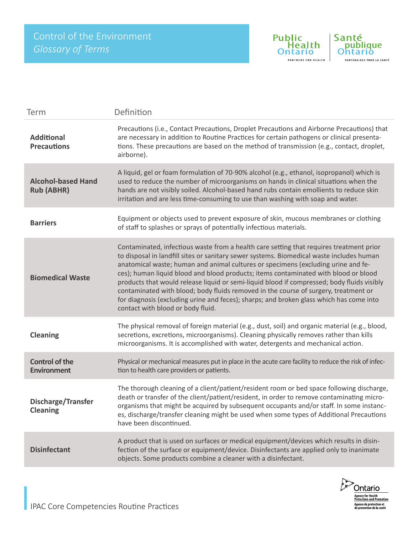

| Term                                           | Definition                                                                                                                                                                                                                                                                                                                                                                                                                                                                                                                                                                                                                                                                           |
|------------------------------------------------|--------------------------------------------------------------------------------------------------------------------------------------------------------------------------------------------------------------------------------------------------------------------------------------------------------------------------------------------------------------------------------------------------------------------------------------------------------------------------------------------------------------------------------------------------------------------------------------------------------------------------------------------------------------------------------------|
| <b>Additional</b><br><b>Precautions</b>        | Precautions (i.e., Contact Precautions, Droplet Precautions and Airborne Precautions) that<br>are necessary in addition to Routine Practices for certain pathogens or clinical presenta-<br>tions. These precautions are based on the method of transmission (e.g., contact, droplet,<br>airborne).                                                                                                                                                                                                                                                                                                                                                                                  |
| <b>Alcohol-based Hand</b><br><b>Rub (ABHR)</b> | A liquid, gel or foam formulation of 70-90% alcohol (e.g., ethanol, isopropanol) which is<br>used to reduce the number of microorganisms on hands in clinical situations when the<br>hands are not visibly soiled. Alcohol-based hand rubs contain emollients to reduce skin<br>irritation and are less time-consuming to use than washing with soap and water.                                                                                                                                                                                                                                                                                                                      |
| <b>Barriers</b>                                | Equipment or objects used to prevent exposure of skin, mucous membranes or clothing<br>of staff to splashes or sprays of potentially infectious materials.                                                                                                                                                                                                                                                                                                                                                                                                                                                                                                                           |
| <b>Biomedical Waste</b>                        | Contaminated, infectious waste from a health care setting that requires treatment prior<br>to disposal in landfill sites or sanitary sewer systems. Biomedical waste includes human<br>anatomical waste; human and animal cultures or specimens (excluding urine and fe-<br>ces); human liquid blood and blood products; items contaminated with blood or blood<br>products that would release liquid or semi-liquid blood if compressed; body fluids visibly<br>contaminated with blood; body fluids removed in the course of surgery, treatment or<br>for diagnosis (excluding urine and feces); sharps; and broken glass which has come into<br>contact with blood or body fluid. |
| <b>Cleaning</b>                                | The physical removal of foreign material (e.g., dust, soil) and organic material (e.g., blood,<br>secretions, excretions, microorganisms). Cleaning physically removes rather than kills<br>microorganisms. It is accomplished with water, detergents and mechanical action.                                                                                                                                                                                                                                                                                                                                                                                                         |
| <b>Control of the</b><br><b>Environment</b>    | Physical or mechanical measures put in place in the acute care facility to reduce the risk of infec-<br>tion to health care providers or patients.                                                                                                                                                                                                                                                                                                                                                                                                                                                                                                                                   |
| <b>Discharge/Transfer</b><br><b>Cleaning</b>   | The thorough cleaning of a client/patient/resident room or bed space following discharge,<br>death or transfer of the client/patient/resident, in order to remove contaminating micro-<br>organisms that might be acquired by subsequent occupants and/or staff. In some instanc-<br>es, discharge/transfer cleaning might be used when some types of Additional Precautions<br>have been discontinued.                                                                                                                                                                                                                                                                              |
| <b>Disinfectant</b>                            | A product that is used on surfaces or medical equipment/devices which results in disin-<br>fection of the surface or equipment/device. Disinfectants are applied only to inanimate<br>objects. Some products combine a cleaner with a disinfectant.                                                                                                                                                                                                                                                                                                                                                                                                                                  |

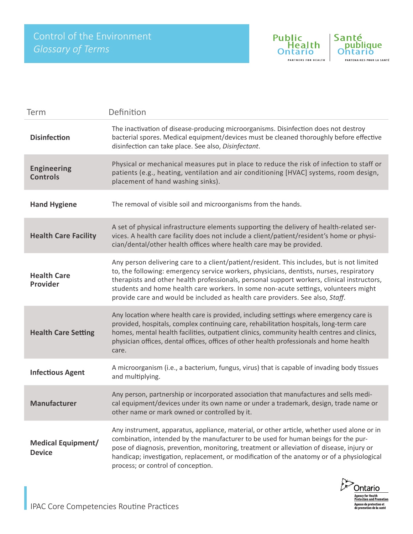

| Term                                       | Definition                                                                                                                                                                                                                                                                                                                                                                                                                                                  |
|--------------------------------------------|-------------------------------------------------------------------------------------------------------------------------------------------------------------------------------------------------------------------------------------------------------------------------------------------------------------------------------------------------------------------------------------------------------------------------------------------------------------|
| <b>Disinfection</b>                        | The inactivation of disease-producing microorganisms. Disinfection does not destroy<br>bacterial spores. Medical equipment/devices must be cleaned thoroughly before effective<br>disinfection can take place. See also, Disinfectant.                                                                                                                                                                                                                      |
| <b>Engineering</b><br><b>Controls</b>      | Physical or mechanical measures put in place to reduce the risk of infection to staff or<br>patients (e.g., heating, ventilation and air conditioning [HVAC] systems, room design,<br>placement of hand washing sinks).                                                                                                                                                                                                                                     |
| <b>Hand Hygiene</b>                        | The removal of visible soil and microorganisms from the hands.                                                                                                                                                                                                                                                                                                                                                                                              |
| <b>Health Care Facility</b>                | A set of physical infrastructure elements supporting the delivery of health-related ser-<br>vices. A health care facility does not include a client/patient/resident's home or physi-<br>cian/dental/other health offices where health care may be provided.                                                                                                                                                                                                |
| <b>Health Care</b><br>Provider             | Any person delivering care to a client/patient/resident. This includes, but is not limited<br>to, the following: emergency service workers, physicians, dentists, nurses, respiratory<br>therapists and other health professionals, personal support workers, clinical instructors,<br>students and home health care workers. In some non-acute settings, volunteers might<br>provide care and would be included as health care providers. See also, Staff. |
| <b>Health Care Setting</b>                 | Any location where health care is provided, including settings where emergency care is<br>provided, hospitals, complex continuing care, rehabilitation hospitals, long-term care<br>homes, mental health facilities, outpatient clinics, community health centres and clinics,<br>physician offices, dental offices, offices of other health professionals and home health<br>care.                                                                         |
| <b>Infectious Agent</b>                    | A microorganism (i.e., a bacterium, fungus, virus) that is capable of invading body tissues<br>and multiplying.                                                                                                                                                                                                                                                                                                                                             |
| <b>Manufacturer</b>                        | Any person, partnership or incorporated association that manufactures and sells medi-<br>cal equipment/devices under its own name or under a trademark, design, trade name or<br>other name or mark owned or controlled by it.                                                                                                                                                                                                                              |
| <b>Medical Equipment/</b><br><b>Device</b> | Any instrument, apparatus, appliance, material, or other article, whether used alone or in<br>combination, intended by the manufacturer to be used for human beings for the pur-<br>pose of diagnosis, prevention, monitoring, treatment or alleviation of disease, injury or<br>handicap; investigation, replacement, or modification of the anatomy or of a physiological<br>process; or control of conception.                                           |